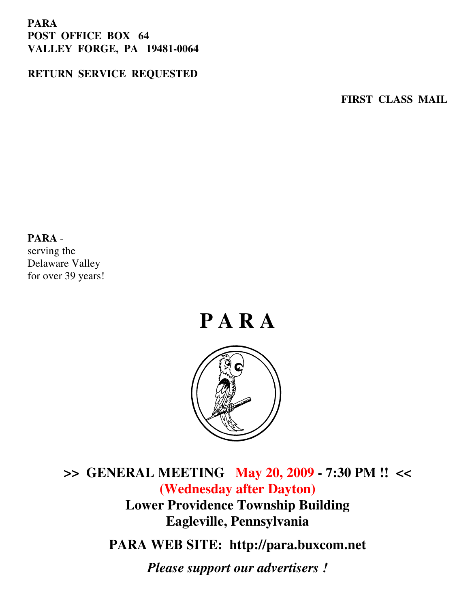#### **PARA POST OFFICE BOX 64 VALLEY FORGE, PA 19481-0064**

#### **RETURN SERVICE REQUESTED**

**FIRST CLASS MAIL** 

#### **PARA** -

serving the Delaware Valley for over 39 years!



**>> GENERAL MEETING May 20, 2009 - 7:30 PM !! << (Wednesday after Dayton) Lower Providence Township Building Eagleville, Pennsylvania** 

**PARA WEB SITE: http://para.buxcom.net**

*Please support our advertisers !*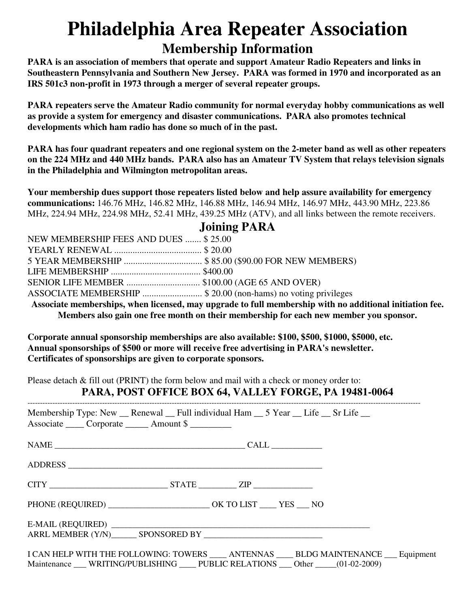### **Philadelphia Area Repeater Association Membership Information**

**PARA is an association of members that operate and support Amateur Radio Repeaters and links in Southeastern Pennsylvania and Southern New Jersey. PARA was formed in 1970 and incorporated as an IRS 501c3 non-profit in 1973 through a merger of several repeater groups.** 

**PARA repeaters serve the Amateur Radio community for normal everyday hobby communications as well as provide a system for emergency and disaster communications. PARA also promotes technical developments which ham radio has done so much of in the past.** 

**PARA has four quadrant repeaters and one regional system on the 2-meter band as well as other repeaters on the 224 MHz and 440 MHz bands. PARA also has an Amateur TV System that relays television signals in the Philadelphia and Wilmington metropolitan areas.** 

**Your membership dues support those repeaters listed below and help assure availability for emergency communications:** 146.76 MHz, 146.82 MHz, 146.88 MHz, 146.94 MHz, 146.97 MHz, 443.90 MHz, 223.86 MHz, 224.94 MHz, 224.98 MHz, 52.41 MHz, 439.25 MHz (ATV), and all links between the remote receivers.

|  |  |  | <b>Joining PARA</b> |  |
|--|--|--|---------------------|--|
|--|--|--|---------------------|--|

| NEW MEMBERSHIP FEES AND DUES  \$25.00                                                                   |  |  |  |  |
|---------------------------------------------------------------------------------------------------------|--|--|--|--|
|                                                                                                         |  |  |  |  |
| 5 YEAR MEMBERSHIP  \$85.00 (\$90.00 FOR NEW MEMBERS)                                                    |  |  |  |  |
|                                                                                                         |  |  |  |  |
| SENIOR LIFE MEMBER  \$100.00 (AGE 65 AND OVER)                                                          |  |  |  |  |
| ASSOCIATE MEMBERSHIP  \$ 20.00 (non-hams) no voting privileges                                          |  |  |  |  |
| Associate memberships, when licensed, may upgrade to full membership with no additional initiation fee. |  |  |  |  |
| Members also gain one free month on their membership for each new member you sponsor.                   |  |  |  |  |

**Corporate annual sponsorship memberships are also available: \$100, \$500, \$1000, \$5000, etc. Annual sponsorships of \$500 or more will receive free advertising in PARA's newsletter. Certificates of sponsorships are given to corporate sponsors.** 

Please detach & fill out (PRINT) the form below and mail with a check or money order to:

#### **PARA, POST OFFICE BOX 64, VALLEY FORGE, PA 19481-0064**

| Membership Type: New __ Renewal __ Full individual Ham __ 5 Year __ Life __ Sr Life __<br>Associate Corporate _______ Amount \$ |                                                                                           |
|---------------------------------------------------------------------------------------------------------------------------------|-------------------------------------------------------------------------------------------|
|                                                                                                                                 |                                                                                           |
|                                                                                                                                 |                                                                                           |
|                                                                                                                                 |                                                                                           |
|                                                                                                                                 |                                                                                           |
|                                                                                                                                 |                                                                                           |
|                                                                                                                                 |                                                                                           |
| Maintenance WRITING/PUBLISHING PUBLIC RELATIONS Other (01-02-2009)                                                              | I CAN HELP WITH THE FOLLOWING: TOWERS _____ ANTENNAS _____ BLDG MAINTENANCE ___ Equipment |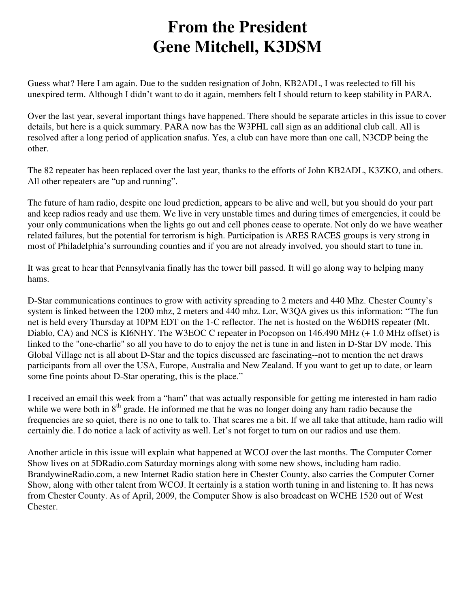#### **From the President Gene Mitchell, K3DSM**

Guess what? Here I am again. Due to the sudden resignation of John, KB2ADL, I was reelected to fill his unexpired term. Although I didn't want to do it again, members felt I should return to keep stability in PARA.

Over the last year, several important things have happened. There should be separate articles in this issue to cover details, but here is a quick summary. PARA now has the W3PHL call sign as an additional club call. All is resolved after a long period of application snafus. Yes, a club can have more than one call, N3CDP being the other.

The 82 repeater has been replaced over the last year, thanks to the efforts of John KB2ADL, K3ZKO, and others. All other repeaters are "up and running".

The future of ham radio, despite one loud prediction, appears to be alive and well, but you should do your part and keep radios ready and use them. We live in very unstable times and during times of emergencies, it could be your only communications when the lights go out and cell phones cease to operate. Not only do we have weather related failures, but the potential for terrorism is high. Participation is ARES RACES groups is very strong in most of Philadelphia's surrounding counties and if you are not already involved, you should start to tune in.

It was great to hear that Pennsylvania finally has the tower bill passed. It will go along way to helping many hams.

D-Star communications continues to grow with activity spreading to 2 meters and 440 Mhz. Chester County's system is linked between the 1200 mhz, 2 meters and 440 mhz. Lor, W3QA gives us this information: "The fun net is held every Thursday at 10PM EDT on the 1-C reflector. The net is hosted on the W6DHS repeater (Mt. Diablo, CA) and NCS is KI6NHY. The W3EOC C repeater in Pocopson on 146.490 MHz (+ 1.0 MHz offset) is linked to the "one-charlie" so all you have to do to enjoy the net is tune in and listen in D-Star DV mode. This Global Village net is all about D-Star and the topics discussed are fascinating--not to mention the net draws participants from all over the USA, Europe, Australia and New Zealand. If you want to get up to date, or learn some fine points about D-Star operating, this is the place."

I received an email this week from a "ham" that was actually responsible for getting me interested in ham radio while we were both in  $8<sup>th</sup>$  grade. He informed me that he was no longer doing any ham radio because the frequencies are so quiet, there is no one to talk to. That scares me a bit. If we all take that attitude, ham radio will certainly die. I do notice a lack of activity as well. Let's not forget to turn on our radios and use them.

Another article in this issue will explain what happened at WCOJ over the last months. The Computer Corner Show lives on at 5DRadio.com Saturday mornings along with some new shows, including ham radio. BrandywineRadio.com, a new Internet Radio station here in Chester County, also carries the Computer Corner Show, along with other talent from WCOJ. It certainly is a station worth tuning in and listening to. It has news from Chester County. As of April, 2009, the Computer Show is also broadcast on WCHE 1520 out of West Chester.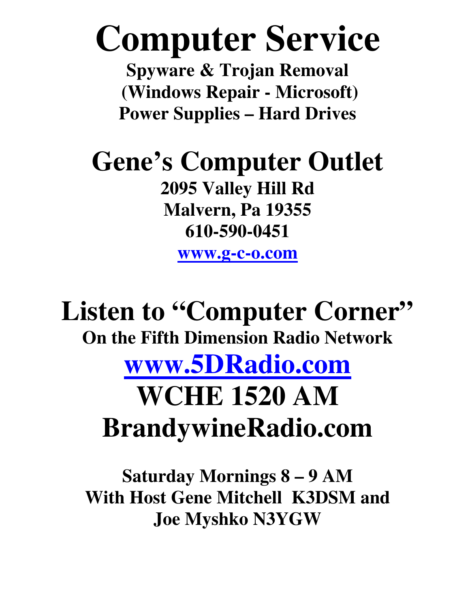# **Computer Service**

**Spyware & Trojan Removal (Windows Repair - Microsoft) Power Supplies – Hard Drives**

## **Gene's Computer Outlet**

**2095 Valley Hill Rd Malvern, Pa 19355 610-590-0451** 

**www.g-c-o.com**

## Listen to "Computer Corner" **On the Fifth Dimension Radio Network www.5DRadio.com WCHE 1520 AM BrandywineRadio.com**

**Saturday Mornings 8 – 9 AM With Host Gene Mitchell K3DSM and Joe Myshko N3YGW**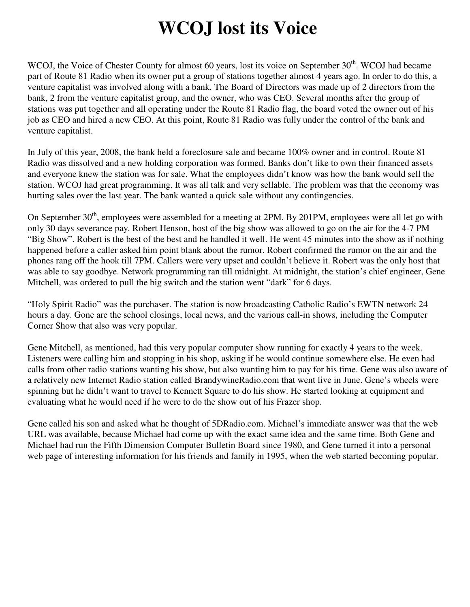## **WCOJ lost its Voice**

WCOJ, the Voice of Chester County for almost 60 years, lost its voice on September 30<sup>th</sup>. WCOJ had became part of Route 81 Radio when its owner put a group of stations together almost 4 years ago. In order to do this, a venture capitalist was involved along with a bank. The Board of Directors was made up of 2 directors from the bank, 2 from the venture capitalist group, and the owner, who was CEO. Several months after the group of stations was put together and all operating under the Route 81 Radio flag, the board voted the owner out of his job as CEO and hired a new CEO. At this point, Route 81 Radio was fully under the control of the bank and venture capitalist.

In July of this year, 2008, the bank held a foreclosure sale and became 100% owner and in control. Route 81 Radio was dissolved and a new holding corporation was formed. Banks don't like to own their financed assets and everyone knew the station was for sale. What the employees didn't know was how the bank would sell the station. WCOJ had great programming. It was all talk and very sellable. The problem was that the economy was hurting sales over the last year. The bank wanted a quick sale without any contingencies.

On September 30<sup>th</sup>, employees were assembled for a meeting at 2PM. By 201PM, employees were all let go with only 30 days severance pay. Robert Henson, host of the big show was allowed to go on the air for the 4-7 PM "Big Show". Robert is the best of the best and he handled it well. He went 45 minutes into the show as if nothing happened before a caller asked him point blank about the rumor. Robert confirmed the rumor on the air and the phones rang off the hook till 7PM. Callers were very upset and couldn't believe it. Robert was the only host that was able to say goodbye. Network programming ran till midnight. At midnight, the station's chief engineer, Gene Mitchell, was ordered to pull the big switch and the station went "dark" for 6 days.

"Holy Spirit Radio" was the purchaser. The station is now broadcasting Catholic Radio's EWTN network 24 hours a day. Gone are the school closings, local news, and the various call-in shows, including the Computer Corner Show that also was very popular.

Gene Mitchell, as mentioned, had this very popular computer show running for exactly 4 years to the week. Listeners were calling him and stopping in his shop, asking if he would continue somewhere else. He even had calls from other radio stations wanting his show, but also wanting him to pay for his time. Gene was also aware of a relatively new Internet Radio station called BrandywineRadio.com that went live in June. Gene's wheels were spinning but he didn't want to travel to Kennett Square to do his show. He started looking at equipment and evaluating what he would need if he were to do the show out of his Frazer shop.

Gene called his son and asked what he thought of 5DRadio.com. Michael's immediate answer was that the web URL was available, because Michael had come up with the exact same idea and the same time. Both Gene and Michael had run the Fifth Dimension Computer Bulletin Board since 1980, and Gene turned it into a personal web page of interesting information for his friends and family in 1995, when the web started becoming popular.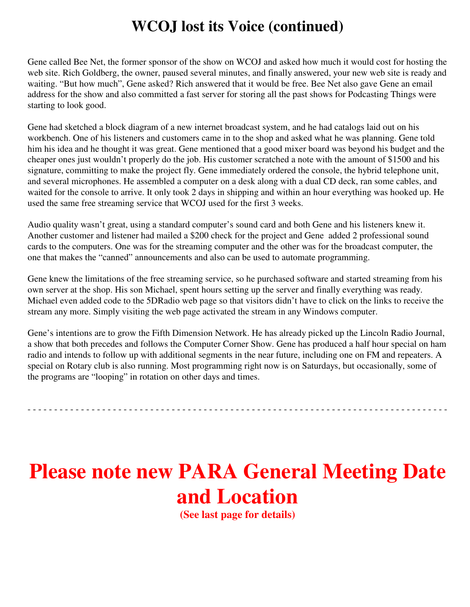#### **WCOJ lost its Voice (continued)**

Gene called Bee Net, the former sponsor of the show on WCOJ and asked how much it would cost for hosting the web site. Rich Goldberg, the owner, paused several minutes, and finally answered, your new web site is ready and waiting. "But how much", Gene asked? Rich answered that it would be free. Bee Net also gave Gene an email address for the show and also committed a fast server for storing all the past shows for Podcasting Things were starting to look good.

Gene had sketched a block diagram of a new internet broadcast system, and he had catalogs laid out on his workbench. One of his listeners and customers came in to the shop and asked what he was planning. Gene told him his idea and he thought it was great. Gene mentioned that a good mixer board was beyond his budget and the cheaper ones just wouldn't properly do the job. His customer scratched a note with the amount of \$1500 and his signature, committing to make the project fly. Gene immediately ordered the console, the hybrid telephone unit, and several microphones. He assembled a computer on a desk along with a dual CD deck, ran some cables, and waited for the console to arrive. It only took 2 days in shipping and within an hour everything was hooked up. He used the same free streaming service that WCOJ used for the first 3 weeks.

Audio quality wasn't great, using a standard computer's sound card and both Gene and his listeners knew it. Another customer and listener had mailed a \$200 check for the project and Gene added 2 professional sound cards to the computers. One was for the streaming computer and the other was for the broadcast computer, the one that makes the "canned" announcements and also can be used to automate programming.

Gene knew the limitations of the free streaming service, so he purchased software and started streaming from his own server at the shop. His son Michael, spent hours setting up the server and finally everything was ready. Michael even added code to the 5DRadio web page so that visitors didn't have to click on the links to receive the stream any more. Simply visiting the web page activated the stream in any Windows computer.

Gene's intentions are to grow the Fifth Dimension Network. He has already picked up the Lincoln Radio Journal, a show that both precedes and follows the Computer Corner Show. Gene has produced a half hour special on ham radio and intends to follow up with additional segments in the near future, including one on FM and repeaters. A special on Rotary club is also running. Most programming right now is on Saturdays, but occasionally, some of the programs are "looping" in rotation on other days and times.

- - - - - - - - - - - - - - - - - - - - - - - - - - - - - - - - - - - - - - - - - - - - - - - - - - - - - - - - - - - - - - - - - - - - - - - - - - - - - - -

## **Please note new PARA General Meeting Date and Location**

**(See last page for details)**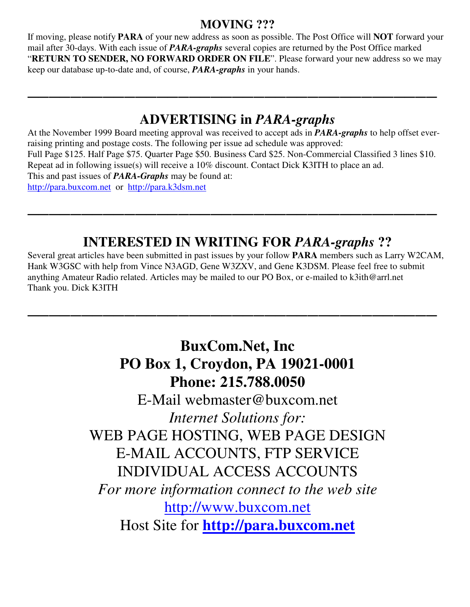#### **MOVING ???**

If moving, please notify **PARA** of your new address as soon as possible. The Post Office will **NOT** forward your mail after 30-days. With each issue of *PARA-graphs* several copies are returned by the Post Office marked "**RETURN TO SENDER, NO FORWARD ORDER ON FILE**". Please forward your new address so we may keep our database up-to-date and, of course, *PARA-graphs* in your hands.

**\_\_\_\_\_\_\_\_\_\_\_\_\_\_\_\_\_\_\_\_\_\_\_\_\_\_\_\_\_\_\_\_\_\_\_\_\_\_**

#### **ADVERTISING in** *PARA-graphs*

At the November 1999 Board meeting approval was received to accept ads in *PARA-graphs* to help offset everraising printing and postage costs. The following per issue ad schedule was approved: Full Page \$125. Half Page \$75. Quarter Page \$50. Business Card \$25. Non-Commercial Classified 3 lines \$10. Repeat ad in following issue(s) will receive a 10% discount. Contact Dick K3ITH to place an ad. This and past issues of *PARA-Graphs* may be found at: http://para.buxcom.net or http://para.k3dsm.net

**\_\_\_\_\_\_\_\_\_\_\_\_\_\_\_\_\_\_\_\_\_\_\_\_\_\_\_\_\_\_\_\_\_\_\_\_\_\_**

#### **INTERESTED IN WRITING FOR** *PARA-graphs* **??**

Several great articles have been submitted in past issues by your follow **PARA** members such as Larry W2CAM, Hank W3GSC with help from Vince N3AGD, Gene W3ZXV, and Gene K3DSM. Please feel free to submit anything Amateur Radio related. Articles may be mailed to our PO Box, or e-mailed to k3ith@arrl.net Thank you. Dick K3ITH

**\_\_\_\_\_\_\_\_\_\_\_\_\_\_\_\_\_\_\_\_\_\_\_\_\_\_\_\_\_\_\_\_\_\_\_\_\_\_** 

#### **BuxCom.Net, Inc PO Box 1, Croydon, PA 19021-0001 Phone: 215.788.0050**

E-Mail webmaster@buxcom.net *Internet Solutions for:* WEB PAGE HOSTING, WEB PAGE DESIGN E-MAIL ACCOUNTS, FTP SERVICE INDIVIDUAL ACCESS ACCOUNTS *For more information connect to the web site*  http://www.buxcom.net Host Site for **http://para.buxcom.net**